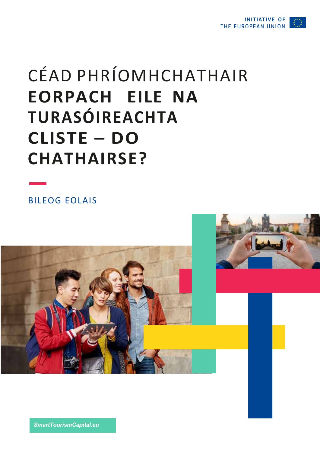

# CÉAD PHRÍOMHCHATHAIR **EORPACH EILE NA** TURASÓIREACHTA **CLISTE - DO CHATHAIRSE?**

**BILEOG EOLAIS** 



SmartTourismCapital.eu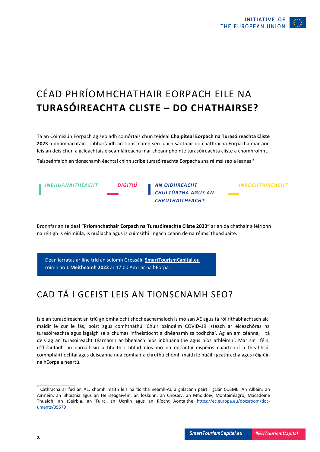

# CÉAD PHRÍOMHCHATHAIR EORPACH EILE NA **TURASÓIREACHTA CLISTE – DO CHATHAIRSE?**

Tá an Coimisiún Eorpach ag seoladh comórtais chun teideal **Chaipiteal Eorpach na Turasóireachta Cliste 2023** a dhámhachtain. Tabharfaidh an tionscnamh seo luach saothair do chathracha Eorpacha mar aon leis an deis chun a gcleachtais eiseamláireacha mar cheannphointe turasóireachta cliste a chomhroinnt.

Taispeánfaidh an tionscnamh éachtaí chinn scríbe turasóireachta Eorpacha sna réimsí seo a leanas<sup>1:</sup>



Bronnfar an teideal **"Príomhchathair Eorpach na Turasóireachta Cliste 2023"** ar an dá chathair a léiríonn na réitigh is éirimiúla, is nuálacha agus is cuimsithí i ngach ceann de na réimsí thuasluaite.

Déan iarratas ar líne tríd an suíomh Gréasáin **SmartTourismCapital.eu** roimh an **1 Meitheamh 2022** ar 17:00 Am Lár na hEorpa.

#### CAD TÁ I GCEIST LEIS AN TIONSCNAMH SEO?

Is é an turasóireacht an tríú gníomhaíocht shocheacnamaíoch is mó san AE agus tá ról ríthábhachtach aici maidir le cur le fás, poist agus comhtháthú. Chuir paindéim COVID-19 isteach ar éiceachóras na turasóireachta agus lagaigh sé a chumas infheistíocht a dhéanamh sa todhchaí. Ag an am céanna, tá deis ag an turasóireacht téarnamh ar bhealach níos inbhuanaithe agus níos athléimní. Mar sin féin, d'fhéadfadh an earnáil sin a bheith i bhfad níos mó dá ndéanfaí eispéiris cuairteoirí a fheabhsú, comhpháirtíochtaí agus deiseanna nua comhair a chruthú chomh maith le nuáil i gcathracha agus réigiúin na hEorpa a neartú.

<sup>&</sup>lt;sup>1</sup> Cathracha ar fud an AE, chomh maith leis na tíortha neamh-AE a ghlacann páirt i gclár COSME: An Albáin, an Airméin, an Bhoisnia agus an Heirseagaivéin, an Íoslainn, an Chosaiv, an Mholdóiv, Montainéagró, Macadóine Thuaidh, an tSeirbia, an Tuirc, an Úcráin agus an Ríocht Aontaithe https://ec.europa.eu/docsroom/documents/39579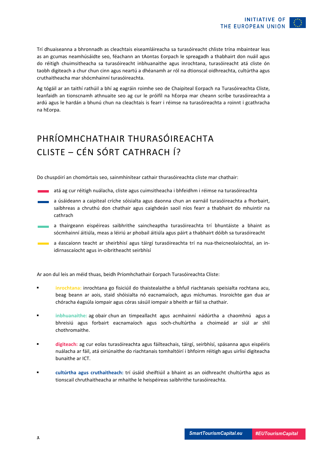Trí dhuaiseanna a bhronnadh as cleachtais eiseamláireacha sa turasóireacht chliste trína mbaintear leas as an gcumas neamhúsáidte seo, féachann an tAontas Eorpach le spreagadh a thabhairt don nuáil agus do réitigh chuimsitheacha sa turasóireacht inbhuanaithe agus inrochtana, turasóireacht atá cliste ón taobh digiteach a chur chun cinn agus neartú a dhéanamh ar ról na dtionscal oidhreachta, cultúrtha agus cruthaitheacha mar shócmhainní turasóireachta.

Ag tógáil ar an taithí rathúil a bhí ag eagráin roimhe seo de Chaipiteal Eorpach na Turasóireachta Cliste, leanfaidh an tionscnamh athnuaite seo ag cur le próifíl na hEorpa mar cheann scríbe turasóireachta a ardú agus le hardán a bhunú chun na cleachtais is fearr i réimse na turasóireachta a roinnt i gcathracha na hEorpa.

# PHRÍOMHCHATHAIR THURASÓIREACHTA CLISTE – CÉN SÓRT CATHRACH Í?

Do chuspóirí an chomórtais seo, sainmhínítear cathair thurasóireachta cliste mar chathair:

atá ag cur réitigh nuálacha, cliste agus cuimsitheacha i bhfeidhm i réimse na turasóireachta

- a úsáideann a caipiteal críche sóisialta agus daonna chun an earnáil turasóireachta a fhorbairt, saibhreas a chruthú don chathair agus caighdeán saoil níos fearr a thabhairt do mhuintir na cathrach
- a thairgeann eispéireas saibhrithe saincheaptha turasóireachta trí bhuntáiste a bhaint as a. sócmhainní áitiúla, meas a léiriú ar phobail áitiúla agus páirt a thabhairt dóibh sa turasóireacht
- a éascaíonn teacht ar sheirbhisí agus táirgí turasóireachta trí na nua-theicneolaíochtaí, an inidirnascaíocht agus in-oibritheacht seirbhísí

Ar aon dul leis an méid thuas, beidh Príomhchathair Eorpach Turasóireachta Cliste:

- § **inrochtana:** inrochtana go fisiciúil do thaistealaithe a bhfuil riachtanais speisialta rochtana acu, beag beann ar aois, staid shóisialta nó eacnamaíoch, agus míchumas. Insroichte gan dua ar chóracha éagsúla iompair agus córas sásúil iompair a bheith ar fáil sa chathair.
- § **inbhuanaithe:** ag obair chun an timpeallacht agus acmhainní nádúrtha a chaomhnú agus a bhreisiú agus forbairt eacnamaíoch agus soch-chultúrtha a choimeád ar siúl ar shlí chothromaithe.
- § **digiteach:** ag cur eolas turasóireachta agus fáilteachais, táirgí, seirbhísí, spásanna agus eispéiris nuálacha ar fáil, atá oiriúnaithe do riachtanais tomhaltóirí i bhfoirm réitigh agus uirlisí digiteacha bunaithe ar ICT.
- § **cultúrtha agus cruthaitheach:** trí úsáid sheiftiúil a bhaint as an oidhreacht chultúrtha agus as tionscail chruthaitheacha ar mhaithe le heispéireas saibhrithe turasóireachta.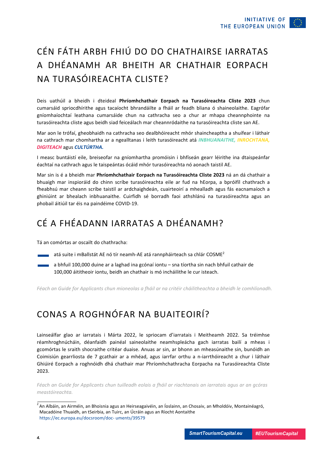

## CÉN FÁTH ARBH FHIÚ DO DO CHATHAIRSE IARRATAS A DHÉANAMH AR BHEITH AR CHATHAIR EORPACH NA TURASÓIREACHTA CLISTE?

Deis uathúil a bheidh i dteideal **Phríomhchathair Eorpach na Turasóireachta Cliste 2023** chun cumarsáid spriocdhírithe agus tacaíocht bhrandáilte a fháil ar feadh bliana ó shaineolaithe. Eagrófar gníomhaíochtaí leathana cumarsáide chun na cathracha seo a chur ar mhapa cheannphointe na turasóireachta cliste agus beidh siad feiceálach mar cheannródaithe na turasóireachta cliste san AE.

Mar aon le trófaí, gheobhaidh na cathracha seo dealbhóireacht mhór shaincheaptha a shuífear i láthair na cathrach mar chomhartha ar a ngealltanas i leith turasóireacht atá *INBHUANAITHE, INROCHTANA, DIGITEACH* agus *CULTÚRTHA.*

I measc buntáistí eile, breiseofar na gníomhartha promóisin i bhfíseán gearr léirithe ina dtaispeánfar éachtaí na cathrach agus le taispeántas ócáid mhór turasóireachta nó aonach taistil AE.

Mar sin is é a bheidh mar **Phríomhchathair Eorpach na Turasóireachta Cliste 2023** ná an dá chathair a bhuaigh mar inspioráid do chinn scríbe turasóireachta eile ar fud na hEorpa, a bpróifíl chathrach a fheabhsú mar cheann scríbe taistil ar ardchaighdeán, cuairteoirí a mhealladh agus fás eacnamaíoch a ghiniúint ar bhealach inbhuanaithe. Cuirfidh sé borradh faoi athshlánú na turasóireachta agus an phobail áitiúil tar éis na paindéime COVID-19.

#### CÉ A FHÉADANN IARRATAS A DHÉANAMH?

Tá an comórtas ar oscailt do chathracha:

atá suite i mBallstát AE nó tír neamh-AE atá rannpháirteach sa chlár COSME<sup>2</sup>

a bhfuil 100,000 duine ar a laghad ina gcónaí iontu – sna tíortha sin nach bhfuil cathair de 100,000 áititheoir iontu, beidh an chathair is mó incháilithe le cur isteach.

*Féach an Guide for Applicants chun mioneolas a fháil ar na critéir cháilitheachta a bheidh le comhlíonadh.*

#### CONAS A ROGHNÓFAR NA BUAITEOIRÍ?

Lainseálfar glao ar iarratais i Márta 2022, le spriocam d'iarratais i Meitheamh 2022. Sa tréimhse réamhroghnúcháin, déanfaidh painéal saineolaithe neamhspleácha gach iarratas bailí a mheas i gcomórtas le sraith shocraithe critéar duaise. Anuas ar sin, ar bhonn an mheasúnaithe sin, bunóidh an Coimisiún gearrliosta de 7 gcathair ar a mhéad, agus iarrfar orthu a n-iarrthóireacht a chur i láthair Ghiúiré Eorpach a roghnóidh dhá chathair mar Phríomhchathracha Eorpacha na Turasóireachta Cliste 2023.

*Féach an Guide for Applicants chun tuilleadh eolais a fháil ar riachtanais an iarratais agus ar an gcóras meastóireachta.*

<sup>&</sup>lt;sup>2</sup> An Albáin, an Airméin, an Bhoisnia agus an Heirseagaivéin, an Íoslainn, an Chosaiv, an Mholdóiv, Montainéagró, Macadóine Thuaidh, an tSeirbia, an Tuirc, an Úcráin agus an Ríocht Aontaithe https://ec.europa.eu/docsroom/doc- uments/39579